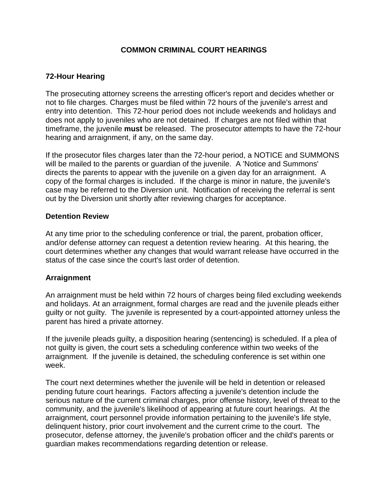# **COMMON CRIMINAL COURT HEARINGS**

# **72-Hour Hearing**

The prosecuting attorney screens the arresting officer's report and decides whether or not to file charges. Charges must be filed within 72 hours of the juvenile's arrest and entry into detention. This 72-hour period does not include weekends and holidays and does not apply to juveniles who are not detained. If charges are not filed within that timeframe, the juvenile **must** be released. The prosecutor attempts to have the 72-hour hearing and arraignment, if any, on the same day.

If the prosecutor files charges later than the 72-hour period, a NOTICE and SUMMONS will be mailed to the parents or guardian of the juvenile. A 'Notice and Summons' directs the parents to appear with the juvenile on a given day for an arraignment. A copy of the formal charges is included. If the charge is minor in nature, the juvenile's case may be referred to the Diversion unit. Notification of receiving the referral is sent out by the Diversion unit shortly after reviewing charges for acceptance.

#### **Detention Review**

At any time prior to the scheduling conference or trial, the parent, probation officer, and/or defense attorney can request a detention review hearing. At this hearing, the court determines whether any changes that would warrant release have occurred in the status of the case since the court's last order of detention.

### **Arraignment**

An arraignment must be held within 72 hours of charges being filed excluding weekends and holidays. At an arraignment, formal charges are read and the juvenile pleads either guilty or not guilty. The juvenile is represented by a court-appointed attorney unless the parent has hired a private attorney.

If the juvenile pleads guilty, a disposition hearing (sentencing) is scheduled. If a plea of not guilty is given, the court sets a scheduling conference within two weeks of the arraignment. If the juvenile is detained, the scheduling conference is set within one week.

The court next determines whether the juvenile will be held in detention or released pending future court hearings. Factors affecting a juvenile's detention include the serious nature of the current criminal charges, prior offense history, level of threat to the community, and the juvenile's likelihood of appearing at future court hearings. At the arraignment, court personnel provide information pertaining to the juvenile's life style, delinquent history, prior court involvement and the current crime to the court. The prosecutor, defense attorney, the juvenile's probation officer and the child's parents or guardian makes recommendations regarding detention or release.